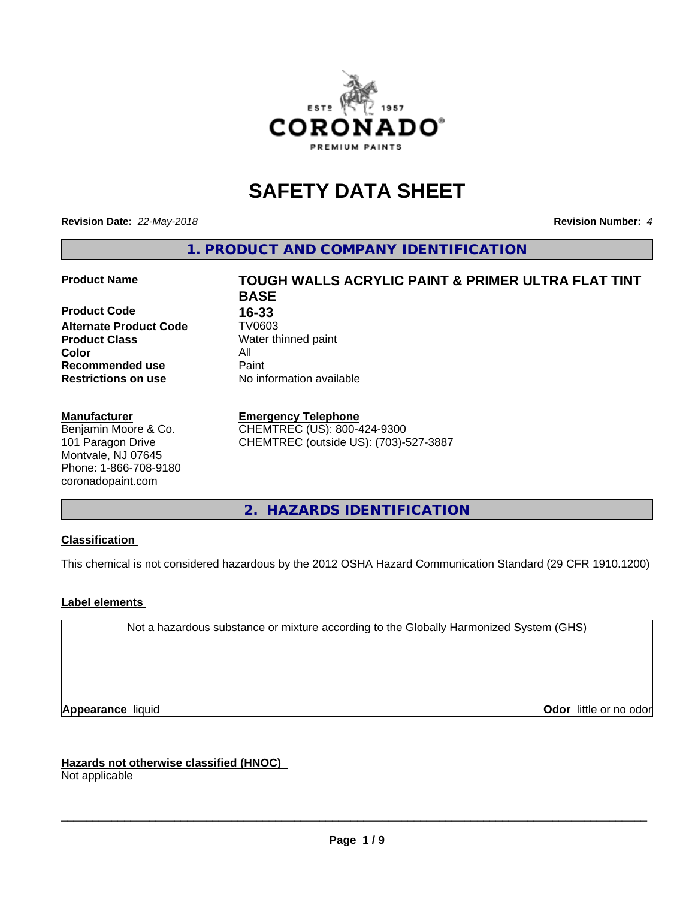

## **SAFETY DATA SHEET**

**Revision Date:** *22-May-2018* **Revision Number:** *4*

**1. PRODUCT AND COMPANY IDENTIFICATION**

**Product Code 16-33**<br>**Alternate Product Code 17/0603 Alternate Product Code Product Class** Water thinned paint<br> **Color** All **Color** All **Recommended use Caint Restrictions on use** No information available

#### **Manufacturer**

Benjamin Moore & Co. 101 Paragon Drive Montvale, NJ 07645 Phone: 1-866-708-9180 coronadopaint.com

# **Product Name TOUGH WALLS ACRYLIC PAINT & PRIMER ULTRA FLAT TINT BASE**

**Emergency Telephone** CHEMTREC (US): 800-424-9300

CHEMTREC (outside US): (703)-527-3887

**2. HAZARDS IDENTIFICATION**

#### **Classification**

This chemical is not considered hazardous by the 2012 OSHA Hazard Communication Standard (29 CFR 1910.1200)

#### **Label elements**

Not a hazardous substance or mixture according to the Globally Harmonized System (GHS)

**Appearance** liquid **Contract Contract Contract Contract Contract Contract Contract Contract Contract Contract Contract Contract Contract Contract Contract Contract Contract Contract Contract Contract Contract Contract Con** 

**Hazards not otherwise classified (HNOC)**

Not applicable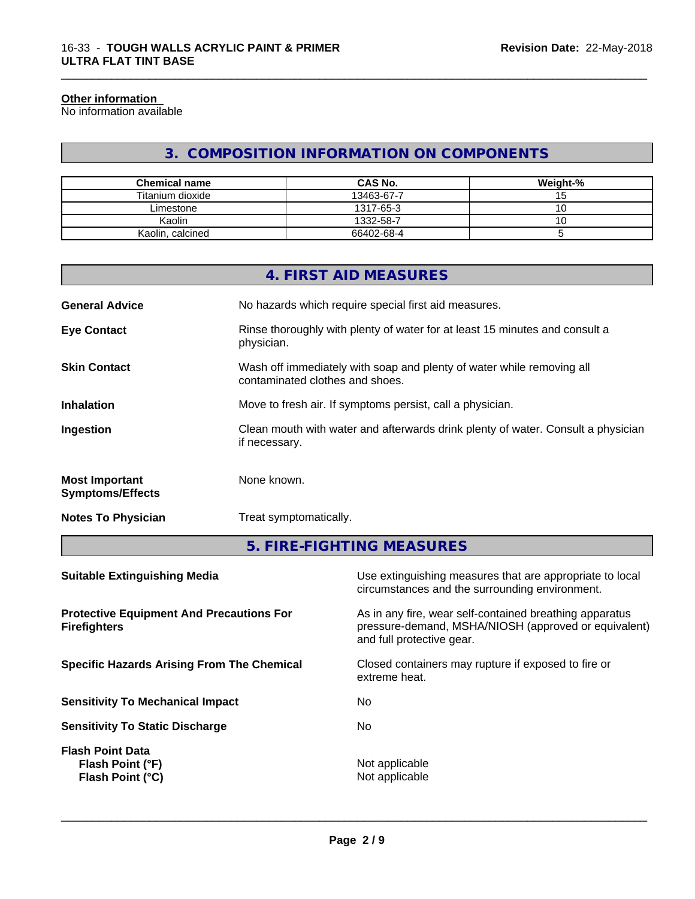#### **Other information**

No information available

### **3. COMPOSITION INFORMATION ON COMPONENTS**

\_\_\_\_\_\_\_\_\_\_\_\_\_\_\_\_\_\_\_\_\_\_\_\_\_\_\_\_\_\_\_\_\_\_\_\_\_\_\_\_\_\_\_\_\_\_\_\_\_\_\_\_\_\_\_\_\_\_\_\_\_\_\_\_\_\_\_\_\_\_\_\_\_\_\_\_\_\_\_\_\_\_\_\_\_\_\_\_\_\_\_\_\_

| <b>Chemical name</b> | <b>CAS No.</b> | Weight-% |
|----------------------|----------------|----------|
| Titanium dioxide     | 13463-67-7     | שו       |
| ∟imestone            | 1317-65-3      | ◡        |
| Kaolin               | 1332-58-7      | ັບ       |
| Kaolin, calcined     | 66402-68-4     |          |

|                                                  | 4. FIRST AID MEASURES                                                                                    |
|--------------------------------------------------|----------------------------------------------------------------------------------------------------------|
| <b>General Advice</b>                            | No hazards which require special first aid measures.                                                     |
| <b>Eye Contact</b>                               | Rinse thoroughly with plenty of water for at least 15 minutes and consult a<br>physician.                |
| <b>Skin Contact</b>                              | Wash off immediately with soap and plenty of water while removing all<br>contaminated clothes and shoes. |
| <b>Inhalation</b>                                | Move to fresh air. If symptoms persist, call a physician.                                                |
| Ingestion                                        | Clean mouth with water and afterwards drink plenty of water. Consult a physician<br>if necessary.        |
| <b>Most Important</b><br><b>Symptoms/Effects</b> | None known.                                                                                              |
| <b>Notes To Physician</b>                        | Treat symptomatically.                                                                                   |

**5. FIRE-FIGHTING MEASURES**

| <b>Suitable Extinguishing Media</b>                                    | Use extinguishing measures that are appropriate to local<br>circumstances and the surrounding environment.                                   |
|------------------------------------------------------------------------|----------------------------------------------------------------------------------------------------------------------------------------------|
| <b>Protective Equipment And Precautions For</b><br><b>Firefighters</b> | As in any fire, wear self-contained breathing apparatus<br>pressure-demand, MSHA/NIOSH (approved or equivalent)<br>and full protective gear. |
| <b>Specific Hazards Arising From The Chemical</b>                      | Closed containers may rupture if exposed to fire or<br>extreme heat.                                                                         |
| <b>Sensitivity To Mechanical Impact</b>                                | No.                                                                                                                                          |
| <b>Sensitivity To Static Discharge</b>                                 | No.                                                                                                                                          |
| <b>Flash Point Data</b><br>Flash Point (°F)<br>Flash Point (°C)        | Not applicable<br>Not applicable                                                                                                             |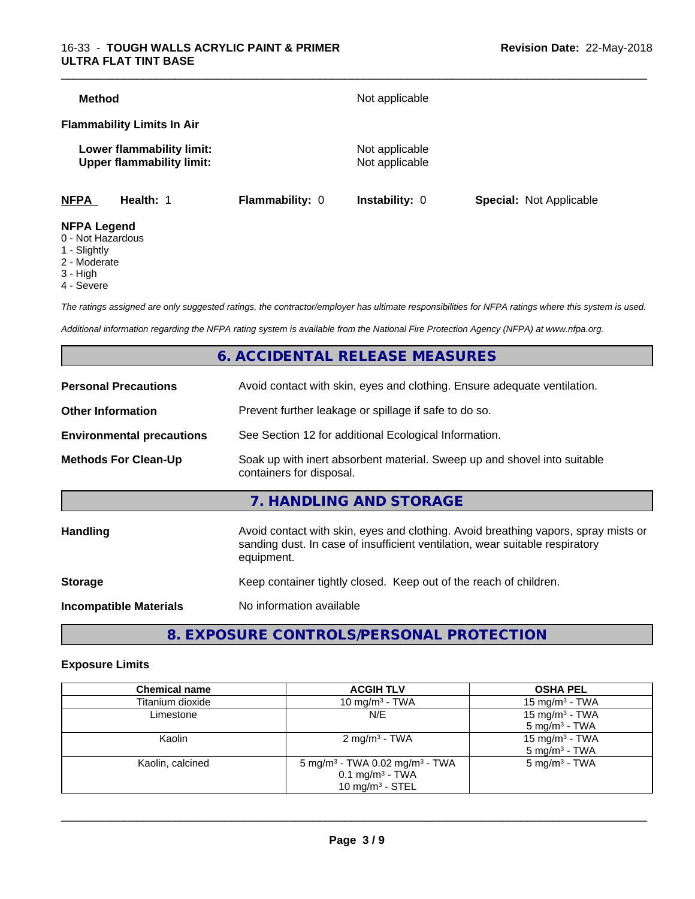|             | Lower flammability limit:<br><b>Upper flammability limit:</b> |                 | Not applicable<br>Not applicable |                                |
|-------------|---------------------------------------------------------------|-----------------|----------------------------------|--------------------------------|
|             |                                                               |                 |                                  |                                |
| <b>NFPA</b> | Health: 1                                                     | Flammability: 0 | <b>Instability: 0</b>            | <b>Special: Not Applicable</b> |

- 0 Not Hazardous
- 1 Slightly
- 2 Moderate
- 3 High
- 4 Severe

*The ratings assigned are only suggested ratings, the contractor/employer has ultimate responsibilities for NFPA ratings where this system is used.*

*Additional information regarding the NFPA rating system is available from the National Fire Protection Agency (NFPA) at www.nfpa.org.*

#### **6. ACCIDENTAL RELEASE MEASURES**

| <b>Personal Precautions</b>      | Avoid contact with skin, eyes and clothing. Ensure adequate ventilation.                                                                                                         |
|----------------------------------|----------------------------------------------------------------------------------------------------------------------------------------------------------------------------------|
| <b>Other Information</b>         | Prevent further leakage or spillage if safe to do so.                                                                                                                            |
| <b>Environmental precautions</b> | See Section 12 for additional Ecological Information.                                                                                                                            |
| <b>Methods For Clean-Up</b>      | Soak up with inert absorbent material. Sweep up and shovel into suitable<br>containers for disposal.                                                                             |
|                                  | 7. HANDLING AND STORAGE                                                                                                                                                          |
| Handling                         | Avoid contact with skin, eyes and clothing. Avoid breathing vapors, spray mists or<br>sanding dust. In case of insufficient ventilation, wear suitable respiratory<br>equipment. |
| <b>Storage</b>                   | Keep container tightly closed. Keep out of the reach of children.                                                                                                                |
| <b>Incompatible Materials</b>    | No information available                                                                                                                                                         |
|                                  |                                                                                                                                                                                  |

**8. EXPOSURE CONTROLS/PERSONAL PROTECTION**

#### **Exposure Limits**

| <b>Chemical name</b> | <b>ACGIH TLV</b>                                                                                              | <b>OSHA PEL</b>                                        |
|----------------------|---------------------------------------------------------------------------------------------------------------|--------------------------------------------------------|
| Titanium dioxide     | 10 mg/m $3$ - TWA                                                                                             | 15 mg/m <sup>3</sup> - TWA                             |
| Limestone            | N/E                                                                                                           | 15 mg/m <sup>3</sup> - TWA<br>$5 \text{ mg/m}^3$ - TWA |
| Kaolin               | $2 \text{ mg/m}^3$ - TWA                                                                                      | 15 mg/m <sup>3</sup> - TWA<br>$5 \text{ mg/m}^3$ - TWA |
| Kaolin, calcined     | 5 mg/m <sup>3</sup> - TWA 0.02 mg/m <sup>3</sup> - TWA<br>$0.1$ mg/m <sup>3</sup> - TWA<br>10 mg/m $3 -$ STEL | $5 \text{ mg/m}^3$ - TWA                               |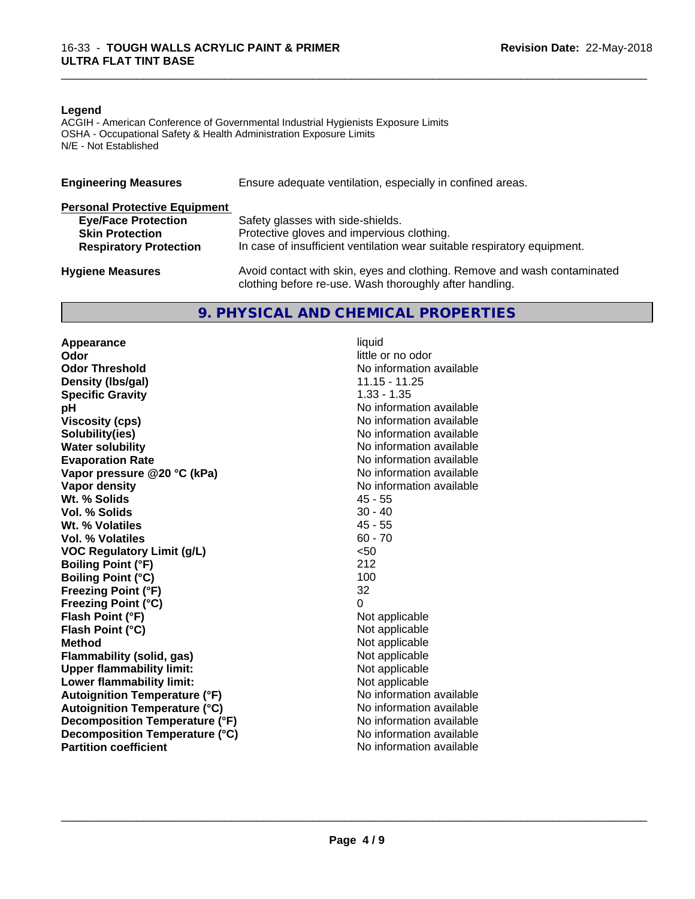#### **Legend**

ACGIH - American Conference of Governmental Industrial Hygienists Exposure Limits OSHA - Occupational Safety & Health Administration Exposure Limits N/E - Not Established

| <b>Engineering Measures</b>          | Ensure adequate ventilation, especially in confined areas.                                                                          |
|--------------------------------------|-------------------------------------------------------------------------------------------------------------------------------------|
| <b>Personal Protective Equipment</b> |                                                                                                                                     |
| <b>Eye/Face Protection</b>           | Safety glasses with side-shields.                                                                                                   |
| <b>Skin Protection</b>               | Protective gloves and impervious clothing.                                                                                          |
| <b>Respiratory Protection</b>        | In case of insufficient ventilation wear suitable respiratory equipment.                                                            |
| <b>Hygiene Measures</b>              | Avoid contact with skin, eyes and clothing. Remove and wash contaminated<br>clothing before re-use. Wash thoroughly after handling. |

#### **9. PHYSICAL AND CHEMICAL PROPERTIES**

**Appearance** liquid<br> **Appearance** liquid<br> **Odor Odor Threshold No information available No information available Density (Ibs/gal)** 11.15 - 11.25<br> **Specific Gravity** 1.33 - 1.35 **Specific Gravity**<br>pH **Viscosity (cps)** No information available **Solubility(ies)** No information available **Water solubility** No information available **Evaporation Rate No information available No information available Vapor pressure @20 °C (kPa)** No information available **Vapor density**<br> **We Solids**<br>
We Solid Wit, % Solids
and Minimal Contract Minimal Contract Minimal As - 55 Wt. % Solids **Vol. % Solids** 30 - 40 **Wt. % Volatiles** 45 - 55<br> **Vol. % Volatiles** 60 - 70 **Vol. % Volatiles VOC Regulatory Limit (g/L)** <50 **Boiling Point (°F)** 212 **Boiling Point (°C)** 100 **Freezing Point (°F)** 32 **Freezing Point (°C)** 0 **Flash Point (°F)** Not applicable **Flash Point (°C)** Not applicable **Method**<br> **Flammability (solid, gas)**<br> **Commability (solid, gas)**<br> **Not** applicable **Flammability** (solid, gas) **Upper flammability limit:**<br> **Lower flammability limit:** Not applicable Not applicable **Lower flammability limit:**<br> **Autoignition Temperature (°F)** Not applicable available and the Mustafable and Mustafable and Mustafable and Mu **Autoignition Temperature (°F) Autoignition Temperature (°C)** No information available **Decomposition Temperature (°F)** No information available **Decomposition Temperature (°C)** No information available **Partition coefficient** and the settlement of the settlement of the No information available

**Odor** little or no odor **No information available** 

\_\_\_\_\_\_\_\_\_\_\_\_\_\_\_\_\_\_\_\_\_\_\_\_\_\_\_\_\_\_\_\_\_\_\_\_\_\_\_\_\_\_\_\_\_\_\_\_\_\_\_\_\_\_\_\_\_\_\_\_\_\_\_\_\_\_\_\_\_\_\_\_\_\_\_\_\_\_\_\_\_\_\_\_\_\_\_\_\_\_\_\_\_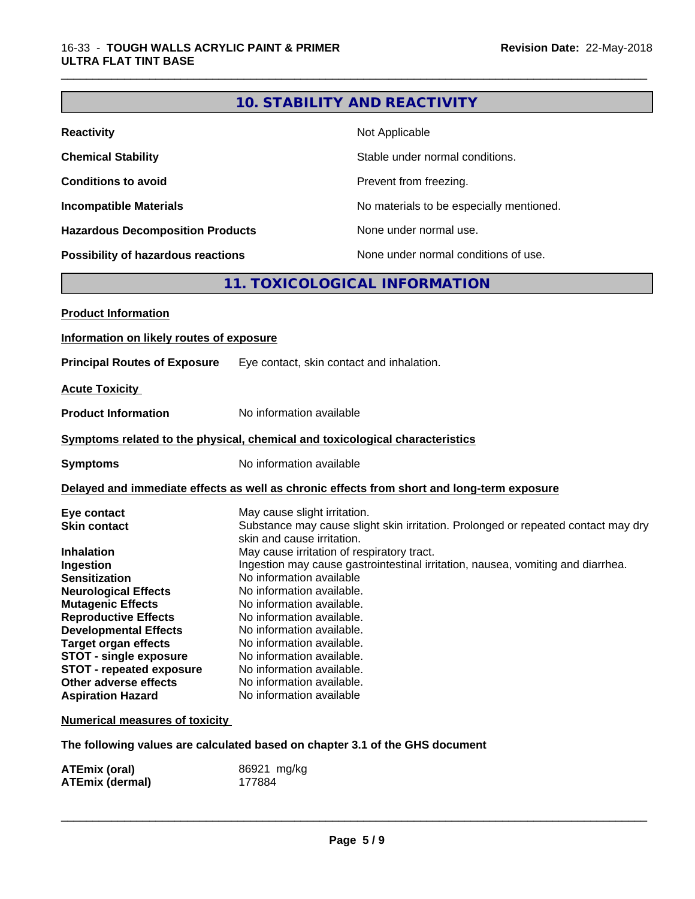### **10. STABILITY AND REACTIVITY**

\_\_\_\_\_\_\_\_\_\_\_\_\_\_\_\_\_\_\_\_\_\_\_\_\_\_\_\_\_\_\_\_\_\_\_\_\_\_\_\_\_\_\_\_\_\_\_\_\_\_\_\_\_\_\_\_\_\_\_\_\_\_\_\_\_\_\_\_\_\_\_\_\_\_\_\_\_\_\_\_\_\_\_\_\_\_\_\_\_\_\_\_\_

| <b>Reactivity</b>                       | Not Applicable                           |
|-----------------------------------------|------------------------------------------|
| <b>Chemical Stability</b>               | Stable under normal conditions.          |
| <b>Conditions to avoid</b>              | Prevent from freezing.                   |
| <b>Incompatible Materials</b>           | No materials to be especially mentioned. |
| <b>Hazardous Decomposition Products</b> | None under normal use.                   |
| Possibility of hazardous reactions      | None under normal conditions of use.     |

### **11. TOXICOLOGICAL INFORMATION**

| <b>Product Information</b>               |                                                                                                                 |
|------------------------------------------|-----------------------------------------------------------------------------------------------------------------|
| Information on likely routes of exposure |                                                                                                                 |
| <b>Principal Routes of Exposure</b>      | Eye contact, skin contact and inhalation.                                                                       |
| <b>Acute Toxicity</b>                    |                                                                                                                 |
| <b>Product Information</b>               | No information available                                                                                        |
|                                          | Symptoms related to the physical, chemical and toxicological characteristics                                    |
| <b>Symptoms</b>                          | No information available                                                                                        |
|                                          | Delayed and immediate effects as well as chronic effects from short and long-term exposure                      |
| Eye contact                              | May cause slight irritation.                                                                                    |
| <b>Skin contact</b>                      | Substance may cause slight skin irritation. Prolonged or repeated contact may dry<br>skin and cause irritation. |
| <b>Inhalation</b>                        | May cause irritation of respiratory tract.                                                                      |
| Ingestion                                | Ingestion may cause gastrointestinal irritation, nausea, vomiting and diarrhea.                                 |
| <b>Sensitization</b>                     | No information available                                                                                        |
| <b>Neurological Effects</b>              | No information available.                                                                                       |
| <b>Mutagenic Effects</b>                 | No information available.                                                                                       |
| <b>Reproductive Effects</b>              | No information available.                                                                                       |
| <b>Developmental Effects</b>             | No information available.                                                                                       |
| <b>Target organ effects</b>              | No information available.                                                                                       |
| <b>STOT - single exposure</b>            | No information available.                                                                                       |
| <b>STOT - repeated exposure</b>          | No information available.                                                                                       |
| Other adverse effects                    | No information available.                                                                                       |
| <b>Aspiration Hazard</b>                 | No information available                                                                                        |
| <b>Numerical measures of toxicity</b>    |                                                                                                                 |

**The following values are calculated based on chapter 3.1 of the GHS document**

| ATEmix (oral)          | 86921 mg/kg |
|------------------------|-------------|
| <b>ATEmix (dermal)</b> | 177884      |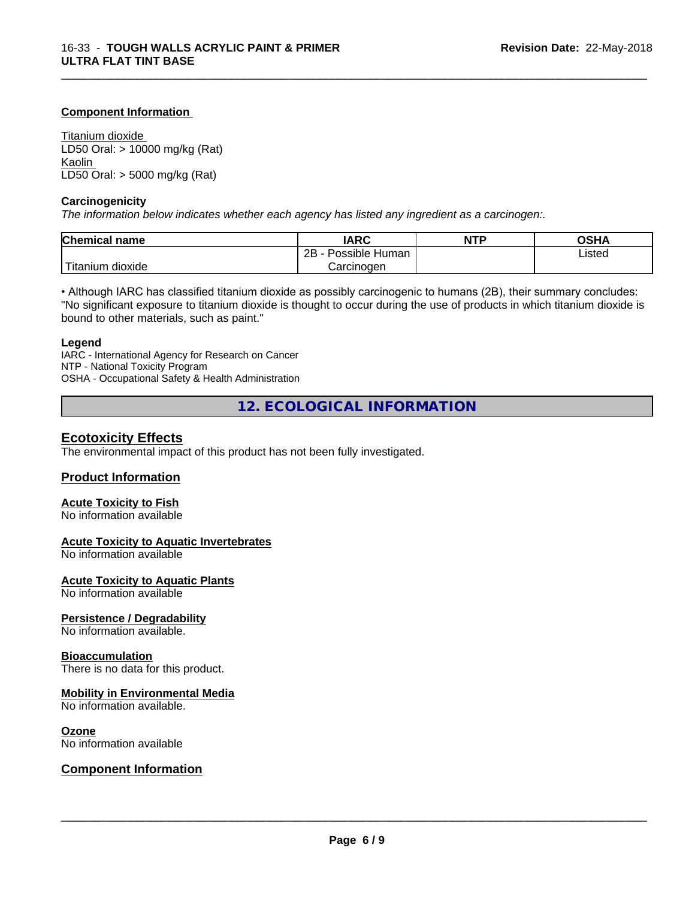#### **Component Information**

Titanium dioxide LD50 Oral: > 10000 mg/kg (Rat) Kaolin LD50 Oral: > 5000 mg/kg (Rat)

#### **Carcinogenicity**

*The information below indicateswhether each agency has listed any ingredient as a carcinogen:.*

| <b>Chemical</b><br>name | <b>IARC</b>                  | <b>NTP</b> | <b>OSHA</b> |
|-------------------------|------------------------------|------------|-------------|
|                         | .<br>2B<br>Possible<br>Human |            | ∟isted      |
| n dioxide<br>l itanıum  | Carcinoɑen                   |            |             |

\_\_\_\_\_\_\_\_\_\_\_\_\_\_\_\_\_\_\_\_\_\_\_\_\_\_\_\_\_\_\_\_\_\_\_\_\_\_\_\_\_\_\_\_\_\_\_\_\_\_\_\_\_\_\_\_\_\_\_\_\_\_\_\_\_\_\_\_\_\_\_\_\_\_\_\_\_\_\_\_\_\_\_\_\_\_\_\_\_\_\_\_\_

• Although IARC has classified titanium dioxide as possibly carcinogenic to humans (2B), their summary concludes: "No significant exposure to titanium dioxide is thought to occur during the use of products in which titanium dioxide is bound to other materials, such as paint."

#### **Legend**

IARC - International Agency for Research on Cancer NTP - National Toxicity Program OSHA - Occupational Safety & Health Administration

**12. ECOLOGICAL INFORMATION**

#### **Ecotoxicity Effects**

The environmental impact of this product has not been fully investigated.

#### **Product Information**

#### **Acute Toxicity to Fish**

No information available

#### **Acute Toxicity to Aquatic Invertebrates**

No information available

#### **Acute Toxicity to Aquatic Plants**

No information available

#### **Persistence / Degradability**

No information available.

#### **Bioaccumulation**

There is no data for this product.

#### **Mobility in Environmental Media**

No information available.

#### **Ozone**

No information available

#### **Component Information**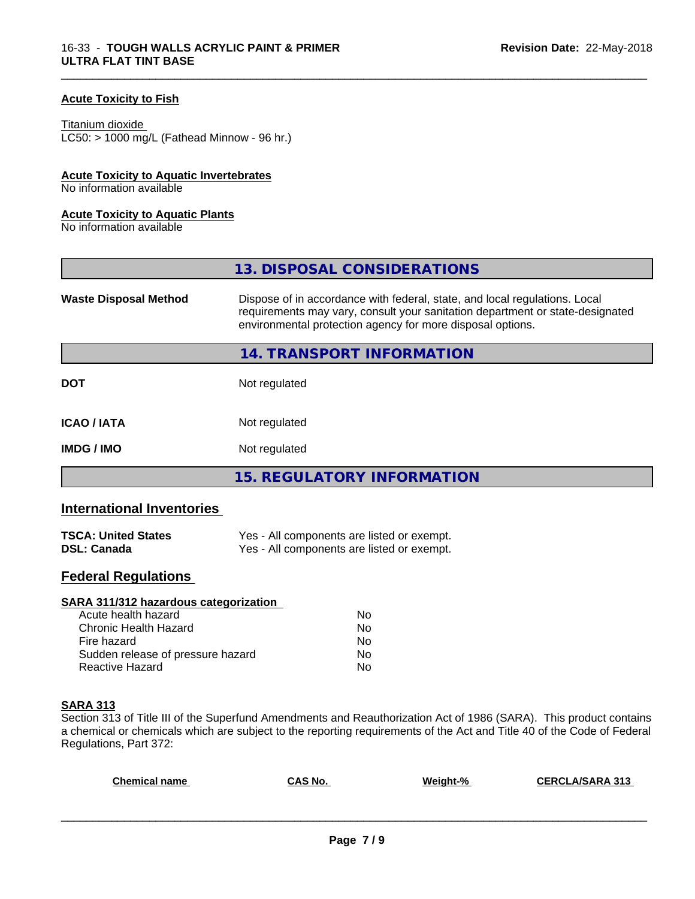#### **Acute Toxicity to Fish**

Titanium dioxide  $LC50:$  > 1000 mg/L (Fathead Minnow - 96 hr.)

#### **Acute Toxicity to Aquatic Invertebrates**

No information available

#### **Acute Toxicity to Aquatic Plants**

No information available

|                              | 13. DISPOSAL CONSIDERATIONS                                                                                                                                                                                               |
|------------------------------|---------------------------------------------------------------------------------------------------------------------------------------------------------------------------------------------------------------------------|
| <b>Waste Disposal Method</b> | Dispose of in accordance with federal, state, and local regulations. Local<br>requirements may vary, consult your sanitation department or state-designated<br>environmental protection agency for more disposal options. |
|                              | 14. TRANSPORT INFORMATION                                                                                                                                                                                                 |
| <b>DOT</b>                   | Not regulated                                                                                                                                                                                                             |
| <b>ICAO/IATA</b>             | Not regulated                                                                                                                                                                                                             |
| <b>IMDG/IMO</b>              | Not regulated                                                                                                                                                                                                             |
|                              | 15. REGULATORY INFORMATION                                                                                                                                                                                                |

\_\_\_\_\_\_\_\_\_\_\_\_\_\_\_\_\_\_\_\_\_\_\_\_\_\_\_\_\_\_\_\_\_\_\_\_\_\_\_\_\_\_\_\_\_\_\_\_\_\_\_\_\_\_\_\_\_\_\_\_\_\_\_\_\_\_\_\_\_\_\_\_\_\_\_\_\_\_\_\_\_\_\_\_\_\_\_\_\_\_\_\_\_

#### **International Inventories**

| <b>TSCA: United States</b> | Yes - All components are listed or exempt. |
|----------------------------|--------------------------------------------|
| <b>DSL: Canada</b>         | Yes - All components are listed or exempt. |

#### **Federal Regulations**

| SARA 311/312 hazardous categorization |    |  |
|---------------------------------------|----|--|
| Acute health hazard                   | Nο |  |
| Chronic Health Hazard                 | No |  |
| Fire hazard                           | No |  |
| Sudden release of pressure hazard     | Nο |  |
| Reactive Hazard                       | No |  |

#### **SARA 313**

Section 313 of Title III of the Superfund Amendments and Reauthorization Act of 1986 (SARA). This product contains a chemical or chemicals which are subject to the reporting requirements of the Act and Title 40 of the Code of Federal Regulations, Part 372:

| <b>Chemical name</b> | CAS No. | Weight-% | <b>A/SARA 313</b><br>CERCL |
|----------------------|---------|----------|----------------------------|
|                      |         |          |                            |
|                      |         |          |                            |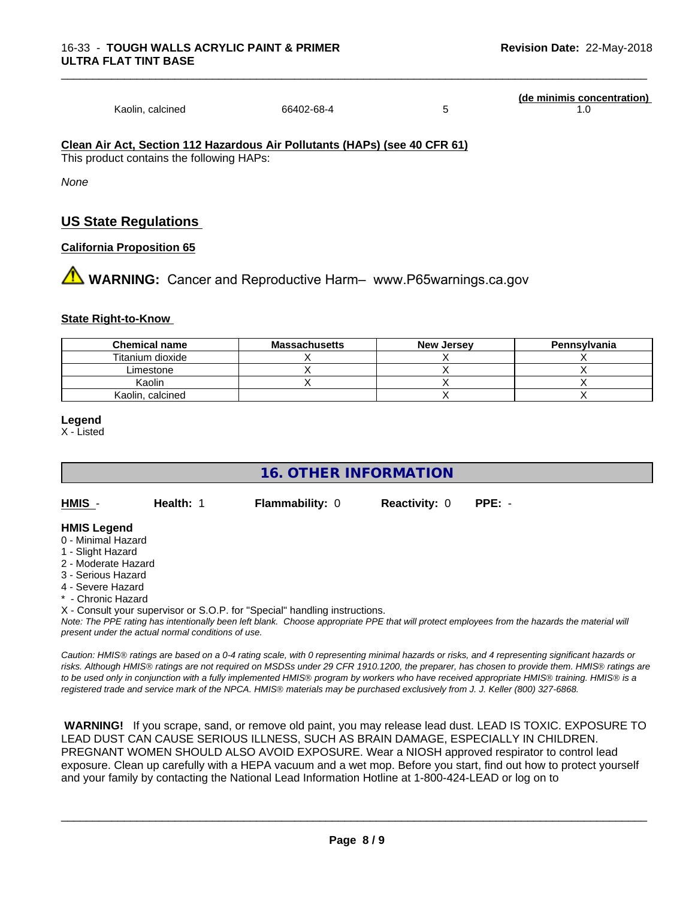|                  |            | (de minimis concentration) |
|------------------|------------|----------------------------|
| Kaolin, calcined | 66402-68-4 |                            |

#### **Clean Air Act,Section 112 Hazardous Air Pollutants (HAPs) (see 40 CFR 61)**

This product contains the following HAPs:

*None*

#### **US State Regulations**

#### **California Proposition 65**

**AN** WARNING: Cancer and Reproductive Harm– www.P65warnings.ca.gov

#### **State Right-to-Know**

| <b>Chemical name</b> | <b>Massachusetts</b> | <b>New Jersey</b> | Pennsylvania |
|----------------------|----------------------|-------------------|--------------|
| Titanium dioxide     |                      |                   |              |
| Limestone            |                      |                   |              |
| Kaolin               |                      |                   |              |
| Kaolin, calcined     |                      |                   |              |

#### **Legend**

X - Listed

#### **16. OTHER INFORMATION**

**HMIS** - **Health:** 1 **Flammability:** 0 **Reactivity:** 0 **PPE:** -

#### **HMIS Legend**

- 0 Minimal Hazard
- 1 Slight Hazard
- 2 Moderate Hazard
- 3 Serious Hazard
- 4 Severe Hazard
- \* Chronic Hazard
- X Consult your supervisor or S.O.P. for "Special" handling instructions.

*Note: The PPE rating has intentionally been left blank. Choose appropriate PPE that will protect employees from the hazards the material will present under the actual normal conditions of use.*

*Caution: HMISÒ ratings are based on a 0-4 rating scale, with 0 representing minimal hazards or risks, and 4 representing significant hazards or risks. Although HMISÒ ratings are not required on MSDSs under 29 CFR 1910.1200, the preparer, has chosen to provide them. HMISÒ ratings are to be used only in conjunction with a fully implemented HMISÒ program by workers who have received appropriate HMISÒ training. HMISÒ is a registered trade and service mark of the NPCA. HMISÒ materials may be purchased exclusively from J. J. Keller (800) 327-6868.*

 **WARNING!** If you scrape, sand, or remove old paint, you may release lead dust. LEAD IS TOXIC. EXPOSURE TO LEAD DUST CAN CAUSE SERIOUS ILLNESS, SUCH AS BRAIN DAMAGE, ESPECIALLY IN CHILDREN. PREGNANT WOMEN SHOULD ALSO AVOID EXPOSURE. Wear a NIOSH approved respirator to control lead exposure. Clean up carefully with a HEPA vacuum and a wet mop. Before you start, find out how to protect yourself and your family by contacting the National Lead Information Hotline at 1-800-424-LEAD or log on to